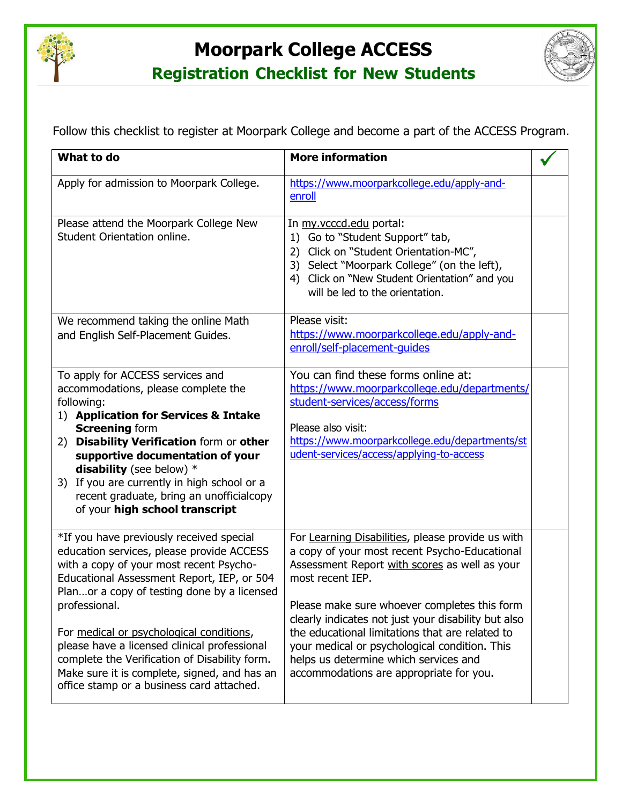

## **Moorpark College ACCESS**



**Registration Checklist for New Students**

Follow this checklist to register at Moorpark College and become a part of the ACCESS Program.

| What to do                                                                                                                                                                                                                                                                                                                                                                                                                                                                               | <b>More information</b>                                                                                                                                                                                                                                                                                                                                                                                                                                                |  |
|------------------------------------------------------------------------------------------------------------------------------------------------------------------------------------------------------------------------------------------------------------------------------------------------------------------------------------------------------------------------------------------------------------------------------------------------------------------------------------------|------------------------------------------------------------------------------------------------------------------------------------------------------------------------------------------------------------------------------------------------------------------------------------------------------------------------------------------------------------------------------------------------------------------------------------------------------------------------|--|
| Apply for admission to Moorpark College.                                                                                                                                                                                                                                                                                                                                                                                                                                                 | https://www.moorparkcollege.edu/apply-and-<br>enroll                                                                                                                                                                                                                                                                                                                                                                                                                   |  |
| Please attend the Moorpark College New<br>Student Orientation online.                                                                                                                                                                                                                                                                                                                                                                                                                    | In my.vcccd.edu portal:<br>Go to "Student Support" tab,<br>1)<br>2) Click on "Student Orientation-MC",<br>3) Select "Moorpark College" (on the left),<br>4) Click on "New Student Orientation" and you<br>will be led to the orientation.                                                                                                                                                                                                                              |  |
| We recommend taking the online Math<br>and English Self-Placement Guides.                                                                                                                                                                                                                                                                                                                                                                                                                | Please visit:<br>https://www.moorparkcollege.edu/apply-and-<br>enroll/self-placement-guides                                                                                                                                                                                                                                                                                                                                                                            |  |
| To apply for ACCESS services and<br>accommodations, please complete the<br>following:<br>1) Application for Services & Intake<br><b>Screening form</b><br>2) Disability Verification form or other<br>supportive documentation of your<br>disability (see below) $*$<br>3) If you are currently in high school or a<br>recent graduate, bring an unofficialcopy<br>of your high school transcript                                                                                        | You can find these forms online at:<br>https://www.moorparkcollege.edu/departments/<br>student-services/access/forms<br>Please also visit:<br>https://www.moorparkcollege.edu/departments/st<br>udent-services/access/applying-to-access                                                                                                                                                                                                                               |  |
| *If you have previously received special<br>education services, please provide ACCESS<br>with a copy of your most recent Psycho-<br>Educational Assessment Report, IEP, or 504<br>Planor a copy of testing done by a licensed<br>professional.<br>For medical or psychological conditions,<br>please have a licensed clinical professional<br>complete the Verification of Disability form.<br>Make sure it is complete, signed, and has an<br>office stamp or a business card attached. | For Learning Disabilities, please provide us with<br>a copy of your most recent Psycho-Educational<br>Assessment Report with scores as well as your<br>most recent IEP.<br>Please make sure whoever completes this form<br>clearly indicates not just your disability but also<br>the educational limitations that are related to<br>your medical or psychological condition. This<br>helps us determine which services and<br>accommodations are appropriate for you. |  |